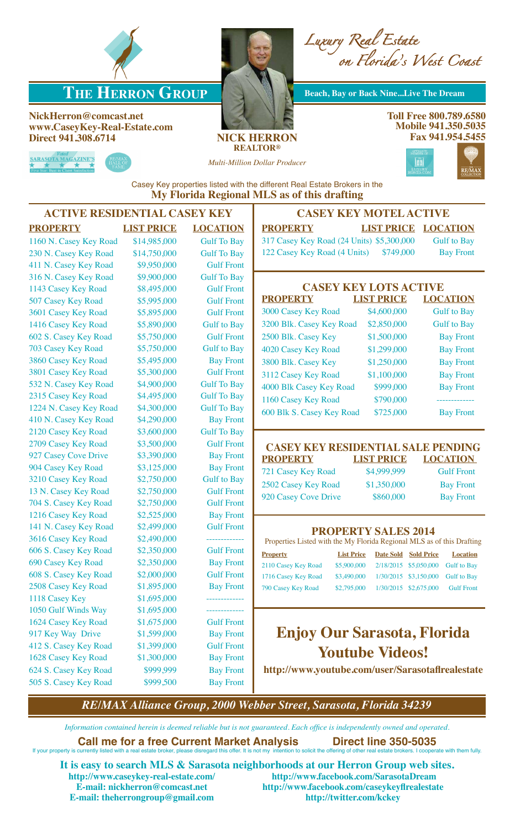

# **THE HERRON GROUP** Beach, Bay or Back Nine...Live The Dream

**NickHerron@comcast.net www.CaseyKey-Real-Estate.com Direct 941.308.6714 NICK HERRON**

SARASOTA MAGAZINE'S

*Luxury Real Estate on Florida's West Coast*

# **REALTOR®**

*Multi-Million Dollar Producer*



Casey Key properties listed with the different Real Estate Brokers in the **My Florida Regional MLS as of this drafting**

| <b>CASEY KEY MC</b>                                  | <b>ACTIVE RESIDENTIAL CASEY KEY</b> |                   |                        |  |  |
|------------------------------------------------------|-------------------------------------|-------------------|------------------------|--|--|
| <b>PROPERTY</b><br><b>LIST</b>                       | <b>LOCATION</b>                     | <b>LIST PRICE</b> | <b>PROPERTY</b>        |  |  |
| 317 Casey Key Road (24 Units) \$                     | <b>Gulf To Bay</b>                  | \$14,985,000      | 1160 N. Casey Key Road |  |  |
| 122 Casey Key Road (4 Units)                         | <b>Gulf To Bay</b>                  | \$14,750,000      | 230 N. Casey Key Road  |  |  |
|                                                      | <b>Gulf Front</b>                   | \$9,950,000       | 411 N. Casey Key Road  |  |  |
|                                                      | <b>Gulf To Bay</b>                  | \$9,900,000       | 316 N. Casey Key Road  |  |  |
| <b>CASEY KEY LO</b>                                  | <b>Gulf Front</b>                   | \$8,495,000       | 1143 Casey Key Road    |  |  |
| <b>PROPERTY</b><br><b>LIST</b>                       | <b>Gulf Front</b>                   | \$5,995,000       | 507 Casey Key Road     |  |  |
| \$4,<br>3000 Casey Key Road                          | <b>Gulf Front</b>                   | \$5,895,000       | 3601 Casey Key Road    |  |  |
| \$2,<br>3200 Blk. Casey Key Road                     | <b>Gulf to Bay</b>                  | \$5,890,000       | 1416 Casey Key Road    |  |  |
| \$1,<br>2500 Blk. Casey Key                          | <b>Gulf Front</b>                   | \$5,750,000       | 602 S. Casey Key Road  |  |  |
| \$1,<br>4020 Casey Key Road                          | <b>Gulf</b> to Bay                  | \$5,750,000       | 703 Casey Key Road     |  |  |
| \$1,<br>3800 Blk. Casey Key                          | <b>Bay Front</b>                    | \$5,495,000       | 3860 Casey Key Road    |  |  |
| \$1,<br>3112 Casey Key Road                          | <b>Gulf Front</b>                   | \$5,300,000       | 3801 Casey Key Road    |  |  |
| \$<br>4000 Blk Casey Key Road                        | <b>Gulf To Bay</b>                  | \$4,900,000       | 532 N. Casey Key Road  |  |  |
| $\mathbf{\hat{S}}$<br>1160 Casey Key Road            | <b>Gulf To Bay</b>                  | \$4,495,000       | 2315 Casey Key Road    |  |  |
| $\mathbf{\hat{S}}$<br>600 Blk S. Casey Key Road      | <b>Gulf To Bay</b>                  | \$4,300,000       | 1224 N. Casey Key Road |  |  |
|                                                      | <b>Bay Front</b>                    | \$4,290,000       | 410 N. Casey Key Road  |  |  |
|                                                      | <b>Gulf To Bay</b>                  | \$3,600,000       | 2120 Casey Key Road    |  |  |
| <b>CASEY KEY RESIDENT</b>                            | <b>Gulf Front</b>                   | \$3,500,000       | 2709 Casey Key Road    |  |  |
| <b>LIST</b><br><b>PROPERTY</b>                       | <b>Bay Front</b>                    | \$3,390,000       | 927 Casey Cove Drive   |  |  |
| \$4,9<br>721 Casey Key Road                          | <b>Bay Front</b>                    | \$3,125,000       | 904 Casey Key Road     |  |  |
| \$1,<br>2502 Casey Key Road                          | <b>Gulf to Bay</b>                  | \$2,750,000       | 3210 Casey Key Road    |  |  |
| 920 Casey Cove Drive<br>$\frac{1}{2}$                | <b>Gulf Front</b>                   | \$2,750,000       | 13 N. Casey Key Road   |  |  |
|                                                      | <b>Gulf Front</b>                   | \$2,750,000       | 704 S. Casey Key Road  |  |  |
|                                                      | <b>Bay Front</b>                    | \$2,525,000       | 1216 Casey Key Road    |  |  |
| <b>PROPERTYS</b>                                     | <b>Gulf Front</b>                   | \$2,499,000       | 141 N. Casey Key Road  |  |  |
| Properties Listed with the My Florida                | ____________                        | \$2,490,000       | 3616 Casey Key Road    |  |  |
| <b>List Price</b><br>$\mathbf{D}$<br><b>Property</b> | <b>Gulf Front</b>                   | \$2,350,000       | 606 S. Casey Key Road  |  |  |
| \$5,900,000 2<br>2110 Casey Key Road                 | <b>Bay Front</b>                    | \$2,350,000       | 690 Casey Key Road     |  |  |
| 1716 Casey Key Road<br>\$3,490,000<br>$\mathbf{1}$   | <b>Gulf Front</b>                   | \$2,000,000       | 608 S. Casey Key Road  |  |  |
| 790 Casey Key Road<br>\$2,795,000<br>$\mathbf{1}$    | <b>Bay Front</b>                    | \$1,895,000       | 2508 Casey Key Road    |  |  |
|                                                      |                                     | \$1,695,000       | 1118 Casey Key         |  |  |
|                                                      | __________                          | \$1,695,000       | 1050 Gulf Winds Way    |  |  |
|                                                      | <b>Gulf Front</b>                   | \$1,675,000       | 1624 Casey Key Road    |  |  |
| <b>Enjoy Our Sara</b>                                | <b>Bay Front</b>                    | \$1,599,000       | 917 Key Way Drive      |  |  |
| <b>Youtube</b>                                       | <b>Gulf Front</b>                   | \$1,399,000       | 412 S. Casey Key Road  |  |  |
|                                                      | <b>Bay Front</b>                    | \$1,300,000       | 1628 Casey Key Road    |  |  |
| http://www.youtube.com/u                             | <b>Bay Front</b>                    | \$999,999         | 624 S. Casey Key Road  |  |  |
|                                                      | <b>Bay Front</b>                    | \$999,500         | 505 S. Casey Key Road  |  |  |
|                                                      |                                     |                   |                        |  |  |

**CASEY ACTIVE**  $$  $35,300,000$  Gulf to Bay \$749,000 Bay Front

| <b>CASEY KEY LOTS ACTIVE</b> |                   |                    |  |  |  |  |  |  |
|------------------------------|-------------------|--------------------|--|--|--|--|--|--|
| <b>PROPERTY</b>              | <b>LIST PRICE</b> | <b>LOCATION</b>    |  |  |  |  |  |  |
| 3000 Casey Key Road          | \$4,600,000       | <b>Gulf to Bay</b> |  |  |  |  |  |  |
| 3200 Blk. Casey Key Road     | \$2,850,000       | <b>Gulf to Bay</b> |  |  |  |  |  |  |
| 2500 Blk. Casey Key          | \$1,500,000       | <b>Bay Front</b>   |  |  |  |  |  |  |
| 4020 Casey Key Road          | \$1,299,000       | <b>Bay Front</b>   |  |  |  |  |  |  |
| 3800 Blk. Casey Key          | \$1,250,000       | <b>Bay Front</b>   |  |  |  |  |  |  |
| 3112 Casey Key Road          | \$1,100,000       | <b>Bay Front</b>   |  |  |  |  |  |  |
| 4000 Blk Casey Key Road      | \$999,000         | <b>Bay Front</b>   |  |  |  |  |  |  |
| 1160 Casey Key Road          | \$790,000         |                    |  |  |  |  |  |  |
| 600 Blk S. Casey Key Road    | \$725,000         | <b>Bay Front</b>   |  |  |  |  |  |  |

#### **CIAL SALE PENDING PRICE LOCATION**

999,999 **Gulf Front** 250,000 Bay Front 860,000 Bay Front

### **PALES 2014**

Regional MLS as of this Drafting

| <b>Property</b>     | <b>List Price</b> | Date Sold Sold Price | <b>Location</b>                               |
|---------------------|-------------------|----------------------|-----------------------------------------------|
| 2110 Casey Key Road |                   |                      | \$5,900,000 2/18/2015 \$5,050,000 Gulf to Bay |
| 1716 Casey Key Road | \$3,490,000       |                      | 1/30/2015 \$3,150,000 Gulf to Bay             |
| 790 Casey Key Road  | \$2,795,000       |                      | 1/30/2015 \$2,675,000 Gulf Front              |
|                     |                   |                      |                                               |

# **Enjoy Our Sarasota, Florida**  $V$ *ideos!*

**http://sarasotaflrealestate** 

*RE/MAX Alliance Group, 2000 Webber Street, Sarasota, Florida 34239*

*Information contained herein is deemed reliable but is not guaranteed. Each office is independently owned and operated.*

#### **Call me for a free Current Market Analysis** Direct line 350-5035<br>currently listed with a real estate broker, please disregard this offer. It is not my intention to solicit the offering of other real estate brokers. I coop If your property is currently listed with a real estate broker, please disregard this offer. It is not my intention to solicit the offering of other real estate brokers. I coop

**It is easy to search MLS & Sarasota neighborhoods at our Herron Group web sites. http://www.caseykey-real-estate.com/ http://www.facebook.com/SarasotaDream http://www.facebook.com/caseykeyflrealestate**<br>http://twitter.com/kckey **E-mail: theherrongroup@gmail.com**